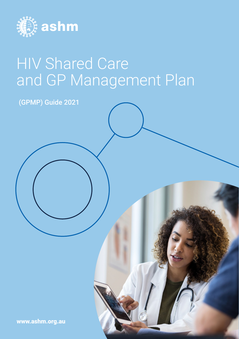

# HIV Shared Care and GP Management Plan

(GPMP) Guide 2021

[www.ashm.org.au](http://www.ashm.org.au)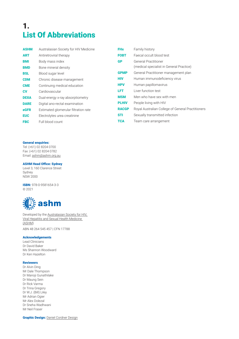## 1. List Of Abbreviations

| <b>ASHM</b> | Australasian Society for HIV Medicine | <b>FHx</b>   | Family history                                    |
|-------------|---------------------------------------|--------------|---------------------------------------------------|
| <b>ART</b>  | Antiretroviral therapy                | <b>FOBT</b>  | Faecal occult blood test                          |
| <b>BMI</b>  | Body mass index                       | <b>GP</b>    | <b>General Practitioner</b>                       |
| <b>BMD</b>  | Bone mineral density                  |              | (medical specialist in General Practice)          |
| <b>BSL</b>  | Blood sugar level                     | <b>GPMP</b>  | General Practitioner management plan              |
| <b>CDM</b>  | Chronic disease management            | <b>HIV</b>   | Human immunodeficiency virus                      |
| <b>CME</b>  | Continuing medical education          | <b>HPV</b>   | Human papillomavirus                              |
| <b>CV</b>   | Cardiovascular                        | <b>LFT</b>   | Liver function test                               |
| <b>DEXA</b> | Dual-energy x-ray absorptiometry      | <b>MSM</b>   | Men who have sex with men                         |
| <b>DARE</b> | Digital ano-rectal examination        | <b>PLHIV</b> | People living with HIV                            |
| <b>eGFR</b> | Estimated glomerular filtration rate  | <b>RACGP</b> | Royal Australian College of General Practitioners |
| <b>EUC</b>  | Electrolytes urea creatinine          | <b>STI</b>   | Sexually transmitted infection                    |
| <b>FBC</b>  | Full blood count                      | <b>TCA</b>   | Team care arrangement                             |
|             |                                       |              |                                                   |

#### General enquiries:

Tel: (+61) 02 8204 0700 Fax: (+61) 02 8204 0782 Email: [ashm@ashm.org.au](mailto:ashm@ashm.org.au)

ASHM Head Office: Sydney

Level 3, 160 Clarence Street Sydney NSW 2000

ISBN: 978-0-9581654-3-3 © 2021



Developed by the [Australasian Society for HIV,](http://www.ashm.org.au)  [Viral Hepatitis and Sexual Health Medicine](http://www.ashm.org.au)  [\(ASHM\)](http://www.ashm.org.au) ABN 48 264 545 457 | CFN 17788

#### Acknowledgements

Lead Clinicians Dr David Baker Ms Shannon Woodward Dr Ken Hazelton

#### Reviewers

Dr Alvin Ding Mr Dale Thompson Dr Manoji Gunathilake Dr Maung Sein Dr Rick Varma Dr Trina Gregory Dr W.J. (Bill) Liley Mr Adrian Ogier Mr Alex Dolezal Dr Sneha Wadhwani Mr Neil Fraser

**Graphic Design: [Daniel Cordner](https://www.danielcordnerdesign.com/) Design**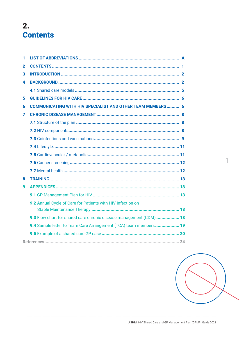### $2.$ **Contents**

| 1            |                                                                     |
|--------------|---------------------------------------------------------------------|
| $\mathbf{2}$ |                                                                     |
| 3            |                                                                     |
| 4            |                                                                     |
|              |                                                                     |
| 5            |                                                                     |
| 6            | <b>COMMUNICATING WITH HIV SPECIALIST AND OTHER TEAM MEMBERS 6</b>   |
| 7            |                                                                     |
|              |                                                                     |
|              |                                                                     |
|              |                                                                     |
|              |                                                                     |
|              |                                                                     |
|              |                                                                     |
|              |                                                                     |
| 8            |                                                                     |
| 9            |                                                                     |
|              |                                                                     |
|              | 9.2 Annual Cycle of Care for Patients with HIV Infection on         |
|              |                                                                     |
|              | 9.3 Flow chart for shared care chronic disease management (CDM)  18 |
|              | 9.4 Sample letter to Team Care Arrangement (TCA) team members 19    |
|              |                                                                     |
|              |                                                                     |

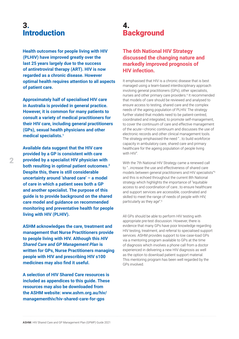### <span id="page-3-0"></span>3. **Introduction**

**Health outcomes for people living with HIV (PLHIV) have improved greatly over the last 25 years largely due to the success of antiretroviral therapy (ART). HIV is now regarded as a chronic disease. However optimal health requires attention to all aspects of patient care.** 

**Approximately half of specialised HIV care in Australia is provided in general practice. However, it is common for many patients to consult a variety of medical practitioners for their HIV care, including general practitioners (GPs), sexual health physicians and other medical specialists.1**

**Available data suggest that the HIV care provided by a GP is consistent with care provided by a specialist HIV physician with both resulting in optimal patient outcomes.2 Despite this, there is still considerable uncertainty around 'shared care' – a model of care in which a patient sees both a GP and another specialist. The purpose of this guide is to provide background on the shared care model and guidance on recommended monitoring and preventative health for people living with HIV (PLHIV).** 

**ASHM acknowledges the care, treatment and management that Nurse Practitioners provide to people living with HIV. Although this** *HIV Shared Care and GP Management Plan* **is written for GPs, Nurse Practitioners managing people with HIV and prescribing HIV s100 medicines may also find it useful.**

**A selection of HIV Shared Care resources is included as appendices to this guide. These resources may also be downloaded from the ASHM website: [www.ashm.org.au/hiv/](Health outcomes for people living with HIV (PLHIV) have improved greatly over the last 25 years largely due to the success of antiretroviral therapy (ART). HIV is now regarded as a chronic disease.  However optimal health requires attention to all aspects of patient care. 
 
Approximately half of specialised HIV care in Australia is provided in general practice. However, it is common for many patients to consult a variety of medical practitioners for their HIV care, including general practitioners (GPs), sexual health physicians and other medical specialists. 

Available data suggest that the HIV care provided by a GP is consistent with care provided by a specialist HIV physician with both resulting in optimal patient outcomes.  Despite this, there is still considerable uncertainty around ‘shared care’ – a model of care in which a patient sees both a GP and another specialist. The purpose of this guide is to provide background on the shared care model and guidance on recommended monitoring and preventative health for people living with HIV (PLHIV).  

ASHM acknowledges the care, treatment and management that Nurse Practitioners provide to people living with HIV. Although this HIV Shared Care and GP Management Plan is written for GPs, Nurse Practitioners managing people with HIV and prescribing HIV s100 medicines may also find it useful.

A selection of HIV Shared Care resources is included as appendices to this guide. These resources may also be downloaded from the ASHM website: 
www.ashm.org.au/hiv/managementhiv/hiv-shared-care-for-gps   
) [managementhiv/hiv-shared-care-for-gps](Health outcomes for people living with HIV (PLHIV) have improved greatly over the last 25 years largely due to the success of antiretroviral therapy (ART). HIV is now regarded as a chronic disease.  However optimal health requires attention to all aspects of patient care. 
 
Approximately half of specialised HIV care in Australia is provided in general practice. However, it is common for many patients to consult a variety of medical practitioners for their HIV care, including general practitioners (GPs), sexual health physicians and other medical specialists. 

Available data suggest that the HIV care provided by a GP is consistent with care provided by a specialist HIV physician with both resulting in optimal patient outcomes.  Despite this, there is still considerable uncertainty around ‘shared care’ – a model of care in which a patient sees both a GP and another specialist. The purpose of this guide is to provide background on the shared care model and guidance on recommended monitoring and preventative health for people living with HIV (PLHIV).  

ASHM acknowledges the care, treatment and management that Nurse Practitioners provide to people living with HIV. Although this HIV Shared Care and GP Management Plan is written for GPs, Nurse Practitioners managing people with HIV and prescribing HIV s100 medicines may also find it useful.

A selection of HIV Shared Care resources is included as appendices to this guide. These resources may also be downloaded from the ASHM website: 
www.ashm.org.au/hiv/managementhiv/hiv-shared-care-for-gps   
)** 

### 4. **Background**

#### **The 6th National HIV Strategy discussed the changing nature and markedly improved prognosis of HIV infection.**

It emphasised that HIV is a chronic disease that is best managed using a team-based interdisciplinary approach involving general practitioners (GPs), other specialists, nurses and other primary care providers.<sup>4</sup> It recommended that models of care should be reviewed and analysed to ensure access to testing, shared care and the complex needs of the ageing population of PLHIV. The strategy further stated that models need to be patient-centred, coordinated and integrated, to promote self-management, to cover the continuum of care and effective management of the acute—chronic continuum and discusses the use of electronic records and other clinical management tools. The strategy emphasised the need "...to build workforce capacity in ambulatory care, shared care and primary healthcare for the ageing population of people living with HIV".

With the 7th National HIV Strategy came a renewed call to "…increase the use and effectiveness of shared care models between general practitioners and HIV specialists"<sup>5</sup> and this is echoed throughout the current 8th National strategy which highlights the importance of "equitable access to and coordination of care…to ensure healthcare and support services are accessible, coordinated and skilled to meet the range of needs of people with HIV, particularly as they age".6

All GPs should be able to perform HIV testing with appropriate pre-test discussion. However, there is evidence that many GPs have poor knowledge regarding HIV testing, treatment, and referral to specialised support services. ASHM provides support to low case-load GPs via a mentoring program available to GPs at the time of diagnosis which involves a phone call from a doctor experienced in delivering a new HIV diagnosis as well as the option to download patient support material. This mentoring program has been well regarded by the GPs involved.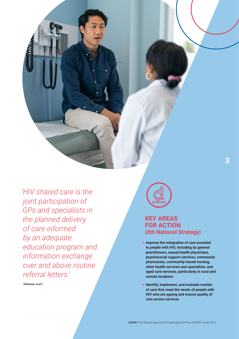*'HIV shared care is the joint participation of GPs and specialists in the planned delivery of care informed by an adequate education program and information exchange over and above routine referral letters.'* 

 **(Hickman, et al3)** 



### **KEY AREAS FOR ACTION (8th National Strategy)**

- **+ Improve the integration of care provided to people with HIV, including by general practitioners, sexual health physicians, psychosocial support services, community pharmacies, community-based nursing, other health services and specialists, and aged care services, particularly in rural and remote locations**
- **+ Identify, implement, and evaluate models of care that meet the needs of people with HIV who are ageing and ensure quality of care across services**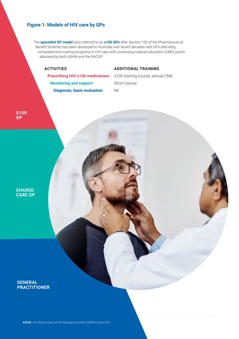#### **Figure 1: Models of HIV care by GPs**

The **specialist GP model** (also referred to as **s100 GPs** after Section 100 of the Pharmaceutical Benefit Scheme) has been developed in Australia over recent decades with GPs attending comprehensive training programs in HIV care with continuing medical education (CME) points allocated by both ASHM and the RACGP.

#### **ACTIVITIES ADDITIONAL TRAINING**

**Monitoring and support** Short course **Diagnosis, basic evaluation** Nil

**Prescribing HIV s100 medications** s100 training course, annual CME

**S100 GP**

**SHARED CARE GP**

#### **GENERAL PRACTITIONER**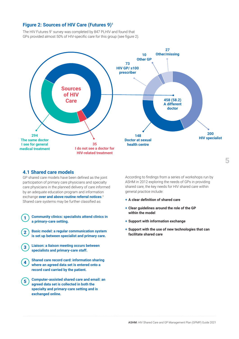#### <span id="page-6-0"></span>**Figure 2: Sources of HIV Care (Futures 9)1**

The HIV Futures 9<sup>1</sup> survey was completed by 847 PLHIV and found that GPs provided almost 50% of HIV-specific care for this group (see figure 2).



#### **4.1 Shared care models**

GP shared care models have been defined as the joint participation of primary care physicians and specialty care physicians in the planned delivery of care informed by an adequate education program and information exchange **over and above routine referral notices**. 3 Shared care systems may be further classified as:

- 1 **Community clinics: specialists attend clinics in a primary-care setting.** 
	- 2 **Basic model: a regular communication system is set up between specialist and primary care.**
- 3 **Liaison: a liaison meeting occurs between specialists and primary-care staff.**
- **4** Shared care record card: information sharing **where an agreed data set is entered onto a record card carried by the patient.**
- 5 **Computer-assisted shared care and email: an agreed data set is collected in both the specialty and primary-care setting and is exchanged online.**

According to findings from a series of workshops run by ASHM in 2012 exploring the needs of GPs in providing shared care, the key needs for HIV shared care within general practice include:

- **+ A clear definition of shared care**
- **+ Clear guidelines around the role of the GP within the model**
- **+ Support with information exchange**
- **+ Support with the use of new technologies that can facilitate shared care**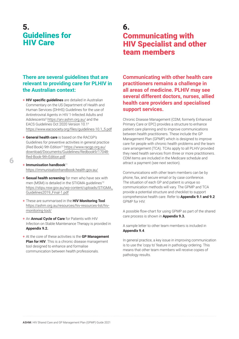### <span id="page-7-0"></span>5. Guidelines for HIV Care

#### **There are several guidelines that are relevant to providing care for PLHIV in the Australian context:**

- + **HIV specific guidelines** are detailed in Australian Commentary on the US Department of Health and Human Services (DHHS) Guidelines for the use of Antiretroviral Agents in HIV 1-Infected Adults and Adolescents<sup>8</sup> <https://arv.ashm.org.au/> and the EACS Guidelines Oct 2020 Version 10.19 [https://www.eacsociety.org/files/guidelines-10.1\\_5.pdf](https://www.eacsociety.org/files/guidelines-10.1_5.pdf)
- + **General health care** is based on the RACGP's Guidelines for preventive activities in general practice (Red Book) 9th Edition<sup>10</sup> [https://www.racgp.org.au/](https://www.racgp.org.au/download/Documents/Guidelines/Redbook9/17048-Red-Book-9th-Edition.pdf) [download/Documents/Guidelines/Redbook9/17048-](https://www.racgp.org.au/download/Documents/Guidelines/Redbook9/17048-Red-Book-9th-Edition.pdf) [Red-Book-9th-Edition.pdf](https://www.racgp.org.au/download/Documents/Guidelines/Redbook9/17048-Red-Book-9th-Edition.pdf)
- + **Immunisation handbook**<sup>11</sup> <https://immunisationhandbook.health.gov.au/>
- + **Sexual health screening** for men who have sex with men (MSM) is detailed in the STIGMA quidelines<sup>12</sup> [https://stipu.nsw.gov.au/wp-content/uploads/STIGMA\\_](https://stipu.nsw.gov.au/wp-content/uploads/STIGMA_Guidelines2019_Final-1.pdf) [Guidelines2019\\_Final-1.pdf](https://stipu.nsw.gov.au/wp-content/uploads/STIGMA_Guidelines2019_Final-1.pdf)
- + These are summarised in the **HIV Monitoring Tool** [https://ashm.org.au/resources/hiv-resources-list/hiv](https://ashm.org.au/resources/hiv-resources-list/hiv-monitoring-tool/)[monitoring-tool/](https://ashm.org.au/resources/hiv-resources-list/hiv-monitoring-tool/)
- + An **Annual Cycle of Care** for Patients with HIV Infection on Stable Maintenance Therapy is provided in **Appendix 9.2.**
- + At the core of these activities is the **GP Management Plan for HIV**. This is a chronic disease management tool designed to enhance and formalise communication between health professionals.

### 6. Communicating with HIV Specialist and other team members

**Communicating with other health care practitioners remains a challenge in all areas of medicine. PLHIV may see several different doctors, nurses, allied health care providers and specialised support services.** 

Chronic Disease Management (CDM, formerly Enhanced Primary Care or EPC) provides a structure to enhance patient care planning and to improve communications between health practitioners. These include the GP Management Plan (GPMP) which is designed to improve care for people with chronic health problems and the team care arrangement (TCA). TCAs apply to all PLHIV provided they need health services from three or more practitioners. CDM items are included in the Medicare schedule and attract a payment (see next section).

Communications with other team members can be by phone, fax, and secure email or by case conference. The situation of each GP and patient is unique so communication methods will vary. The GPMP and TCA provide a potential structure and checklist to support comprehensive health care. Refer to **Appendix 9.1 and 9.2** GPMP for HIV.

A possible flow-chart for using GPMP as part of the shared care process is shown in **Appendix 9.3.** 

A sample letter to other team members is included in **Appendix 9.4**.

In general practice, a key issue in improving communication is to use the 'copy to' feature in pathology ordering. This means that other team members will receive copies of pathology results.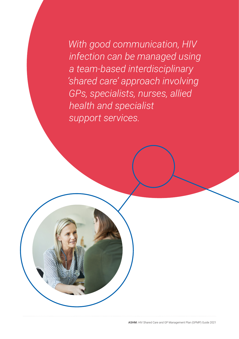*With good communication, HIV infection can be managed using a team-based interdisciplinary 'shared care' approach involving GPs, specialists, nurses, allied health and specialist support services.*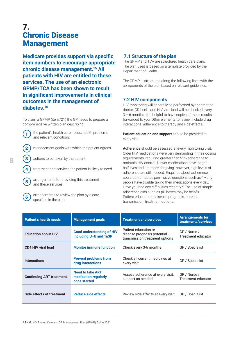### <span id="page-9-0"></span>7. Chronic Disease Management

**Medicare provides support via specific item numbers to encourage appropriate chronic disease management.15 All patients with HIV are entitled to these services. The use of an electronic GPMP/TCA has been shown to result in significant improvements in clinical outcomes in the management of diabetes.16** 

To claim a GPMP (item721) the GP needs to prepare a comprehensive written plan describing:



1 the patient's health care needs, health problems and relevant conditions



 $\left( 2 \right)$  management goals with which the patient agrees

3) actions to be taken by the patient

treatment and services the patient is likely to need

arrangements for providing this treatment and these services



arrangements to review the plan by a date specified in the plan

#### **7.1 Structure of the plan**

The GPMP and TCA are structured health care plans. The plan used is based on a template provided by the [Department of Health](https://www1.health.gov.au/internet/main/publishing.nsf/content/mbsprimarycare-chronicdiseasemanagement).

The GPMP is structured along the following lines with the components of the plan based on relevant guidelines.

#### **7.2 HIV components**

HIV monitoring will generally be performed by the treating doctor. CD4 cells and HIV viral load will be checked every 3 – 6 months. It is helpful to have copies of these results forwarded to you. Other elements to review include drug interactions, adherence to therapy and side effects.

**Patient education and support** should be provided at every visit.

**Adherence** should be assessed at every monitoring visit. Older HIV medications were very demanding in their dosing requirements, requiring greater than 95% adherence to maintain HIV control. Newer medications have longer half-lives and are more 'forgiving,' however, high levels of adherence are still needed. Enquiries about adherence could be framed as permissive questions such as: "Many people have trouble taking their medications every day. Have you had any difficulties recently?" The use of simple adherence aids such as pill boxes may be helpful. Patient education re disease prognosis, potential transmission, treatment options.

| <b>Patient's health needs</b>   | <b>Management goals</b>                                           | <b>Treatment and services</b>                                                         | <b>Arrangements for</b><br>treatments/services |
|---------------------------------|-------------------------------------------------------------------|---------------------------------------------------------------------------------------|------------------------------------------------|
| <b>Education about HIV</b>      | <b>Good understanding of HIV</b><br><b>Including U=U and TaSP</b> | Patient education re<br>disease prognosis potential<br>transmission treatment options | GP / Nurse /<br>Treatment educator             |
| <b>CD4 HIV viral load</b>       | <b>Monitor immune function</b>                                    | Check every 3-6 months                                                                | GP / Specialist                                |
| <b>Interactions</b>             | <b>Prevent problems from</b><br>drug interactions                 | Check all current medicines at<br>every visit                                         | GP / Specialist                                |
| <b>Continuing ART treatment</b> | <b>Need to take ART</b><br>medication regularly<br>once started   | Assess adherence at every visit.<br>support as needed                                 | GP / Nurse /<br>Treatment educator             |
| Side effects of treatment       | Reduce side effects                                               | Review side effects at every visit                                                    | GP / Specialist                                |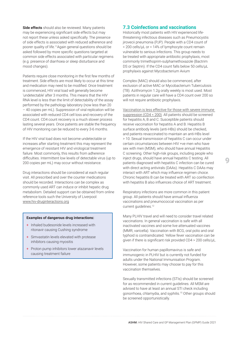<span id="page-10-0"></span>**Side effects** should also be reviewed. Many patients may be experiencing significant side effects but may not report these unless asked specifically. The presence of side effects is associated with reduced adherence and poorer quality of life.11Again general questions should be asked followed by more specific questions targeted at common side effects associated with particular regimens (e.g. presence of diarrhoea or sleep disturbance and mood changes).

Patients require close monitoring in the first few months of treatment. Side effects are most likely to occur at this time and medication may need to be modified. Once treatment is commenced, HIV viral load will generally become 'undetectable' after 3 months. This means that the HIV RNA level is less than the limit of detectability of the assay performed by the pathology laboratory (now less than 20 – 40 copies per mL). Suppression of viral replication will be associated with reduced CD4 cell loss and recovery of the CD4 count. CD4 count recovery is a much slower process lasting several years. Once patients are stable the frequency of HIV monitoring can be reduced to every 3-6 months.

If the HIV viral load does not become undetectable or increases after starting treatment this may represent the emergence of resistant HIV and virological treatment failure. Most commonly, this results from adherence difficulties. Intermittent low levels of detectable virus (up to 200 copies per mL) may occur without resistance.

Drug interactions should be considered at each regular visit. All prescribed and over the counter medications should be recorded. Interactions can be complex as commonly used ART can induce or inhibit hepatic drug metabolism. Detailed support can be obtained from online reference tools such the University of Liverpool: www.hiv-druginteractions.org

#### **Examples of dangerous drug interactions:**

- + Inhaled budesonide levels increased with ritonavir causing Cushing syndrome
- + Simvastatin levels elevated with protease inhibitors causing myositis
- + Proton pump inhibitors lower atazanavir levels causing treatment failure

#### **7.3 Coinfections and vaccinations**

Historically most patients with HIV experienced lifethreatening infectious diseases such as Pneumocystis jirovecii pneumonia (PJP). People with a CD4 count of < 200 cells/µL or < 14% of lymphocyte count remain vulnerable to serious infections. This group needs to be treated with appropriate antibiotic prophylaxis, most commonly trimethoprim-sulphamethoxazole (Bactrim DS or Septrin). If the CD4 count falls below 50 cells/uL prophylaxis against Mycobacterium Avium

Complex (MAC) should also be commenced, after exclusion of active MAC or Mycobacterium Tuberculosis (TB). Azithromycin 1.2g orally weekly is most used. Most patients in regular care will have a CD4 count over 200 so will not require antibiotic prophylaxis.

Vaccination is less effective for those with severe immune suppression [\(CD4 < 200\)](https://www.bhiva.org/vaccination-guidelines). All patients should be screened for hepatitis A, B and C. Susceptible patients should receive vaccination for hepatitis A and B. Hepatitis B surface antibody levels (anti-HBs) should be checked, and patients revaccinated to maintain an anti-HBs level > 10. Sexual transmission of hepatitis C can occur under certain circumstances between HIV +ve men who have sex with men (MSM), who should have annual Hepatitis C screening. Other high-risk groups, including people who inject drugs, should have annual hepatitis C testing. All patients diagnosed with hepatitis C infection can be cured with direct acting antivirals (DAAs). Hepatitis C DAAs may interact with ART which may influence regimen choice. Chronic hepatitis B can be treated with ART so coinfection with hepatitis B also influences choice of ART treatment.

Respiratory infections are more common in this patient group. All patients should have annual influenza vaccinations and pneumococcal vaccination as per current quidelines.<sup>12</sup>

Many PLHIV travel and will need to consider travel related vaccinations. In general vaccination is safe with all inactivated vaccines and some live attenuated vaccines (MMR, varicella). Vaccination with BCG, oral polio and oral typhoid is contraindicated. Yellow fever vaccination can be given if there is significant risk provided CD4 > 200 cells/µL.

Vaccination for human papillomavirus is safe and immunogenic in PLHIV but is currently not funded for adults under the National Immunisation Program. However, some patients may choose to pay for this vaccination themselves.

Sexually transmitted infections (STIs) should be screened for as recommended in current guidelines. All MSM are advised to have at least an annual STI check including gonorrhoea, chlamydia, and syphilis.15 Other groups should be screened opportunistically.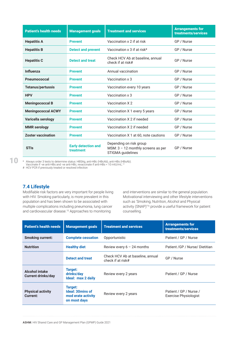| <b>Patient's health needs</b> | <b>Management goals</b>                 | <b>Treatment and services</b>                                                        | <b>Arrangements for</b><br>treatments/services |
|-------------------------------|-----------------------------------------|--------------------------------------------------------------------------------------|------------------------------------------------|
| <b>Hepatitis A</b>            | <b>Prevent</b>                          | Vaccination x 2 if at risk                                                           | GP / Nurse                                     |
| <b>Hepatitis B</b>            | <b>Detect and prevent</b>               | Vaccination x 3 if at risk*                                                          | GP / Nurse                                     |
| <b>Hepatitis C</b>            | <b>Detect and treat</b>                 | Check HCV Ab at baseline, annual<br>check if at risk#                                | GP / Nurse                                     |
| <b>Influenza</b>              | <b>Prevent</b>                          | Annual vaccination                                                                   | GP / Nurse                                     |
| <b>Pneumococcal</b>           | <b>Prevent</b>                          | Vaccination x 3                                                                      | GP / Nurse                                     |
| <b>Tetanus/pertussis</b>      | <b>Prevent</b>                          | Vaccination every 10 years                                                           | GP / Nurse                                     |
| <b>HPV</b>                    | <b>Prevent</b>                          | Vaccination x 3                                                                      | GP / Nurse                                     |
| <b>Meningococcal B</b>        | <b>Prevent</b>                          | Vaccination X 2                                                                      | GP / Nurse                                     |
| <b>Meningococcal ACWY</b>     | <b>Prevent</b>                          | Vaccination X 1 every 5 years                                                        | GP / Nurse                                     |
| Varicella serology            | <b>Prevent</b>                          | Vaccination X 2 if needed                                                            | GP / Nurse                                     |
| <b>MMR</b> serology           | <b>Prevent</b>                          | Vaccination X 2 if needed                                                            | GP / Nurse                                     |
| <b>Zoster vaccination</b>     | <b>Prevent</b>                          | Vaccination X 1 at 60, note cautions                                                 | GP / Nurse                                     |
| <b>STIs</b>                   | <b>Early detection and</b><br>treatment | Depending on risk group<br>MSM: $3 - 12$ monthly screens as per<br>STIGMA quidelines | GP / Nurse                                     |

10

\* Always order 3 tests to determine status: HBSAg, anti-HBc (HBcAb), anti-HBs (HBsAb).

Vaccinate if -ve anti-HBs and -ve anti-HBc, revaccinate if anti-HBs < 10 mlU/mL.12 # HCV PCR if previously treated or resolved infection

#### **7.4 Lifestyle**

Modifiable risk factors are very important for people living with HIV. Smoking particularly, is more prevalent in this population and has been shown to be associated with multiple complications including pneumonia, lung cancer and cardiovascular disease.15 Approaches to monitoring

and interventions are similar to the general population. Motivational interviewing and other lifestyle interventions such as 'Smoking, Nutrition, Alcohol and Physical activity (SNAP)'16 provide a useful framework for patient counselling.

| <b>Patient's health needs</b>                      | <b>Management goals</b>                                           | <b>Treatment and services</b>                         | <b>Arrangements for</b><br>treatments/services  |
|----------------------------------------------------|-------------------------------------------------------------------|-------------------------------------------------------|-------------------------------------------------|
| <b>Smoking current:</b>                            | <b>Complete cessation</b>                                         | Opportunistic                                         | Patient / GP / Nurse                            |
| <b>Nutrition</b>                                   | <b>Healthy diet</b>                                               | Review every $6 - 24$ months                          | Patient / GP / Nurse / Dietitian                |
|                                                    | <b>Detect and treat</b>                                           | Check HCV Ab at baseline, annual<br>check if at risk# | GP / Nurse                                      |
| <b>Alcohol intake</b><br><b>Current drinks/day</b> | Target:<br>drinks/day<br>Ideal: max 2 daily                       | Review every 2 years                                  | Patient / GP / Nurse                            |
| <b>Physical activity</b><br>Current:               | Target:<br>Ideal: 30mins of<br>mod erate activity<br>on most days | Review every 2 years                                  | Patient / GP / Nurse /<br>Exercise Physiologist |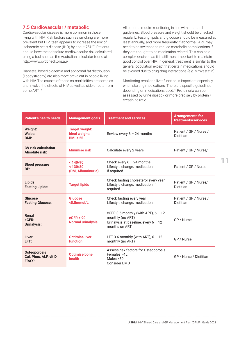#### <span id="page-12-0"></span>**7.5 Cardiovascular / metabolic**

Cardiovascular disease is more common in those living with HIV. Risk factors such as smoking are more prevalent but HIV itself appears to increase the risk of ischaemic heart disease (IHD) by about 75%17. Patients should have their absolute cardiovascular risk calculated using a tool such as the Australian calculator found at <http://www.cvdcheck.org.au/>

Diabetes, hyperlipidaemia and abnormal fat distribution (lipodystrophy) are also more prevalent in people living with HIV. The causes of these co-morbidities are complex and involve the effects of HIV as well as side effects from some ART.18

All patients require monitoring in line with standard guidelines. Blood pressure and weight should be checked regularly. Fasting lipids and glucose should be measured at least annually, and more frequently if abnormal. ART may need to be switched to reduce metabolic complications if they are thought to be medication related. This can be a complex decision as it is still most important to maintain good control over HIV. In general, treatment is similar to the general population except that certain medications should be avoided due to drug-drug interactions (e.g. simvastatin).

Monitoring renal and liver function is important especially when starting medications. There are specific guidelines depending on medications used.12 Proteinuria can be assessed by urine dipstick or more precisely by protein / creatinine ratio.

| <b>Patient's health needs</b>                                | <b>Management goals</b>                                 | <b>Treatment and services</b>                                                                                        | <b>Arrangements for</b><br>treatments/services |
|--------------------------------------------------------------|---------------------------------------------------------|----------------------------------------------------------------------------------------------------------------------|------------------------------------------------|
| Weight:<br>Waist:<br><b>BMI:</b>                             | <b>Target weight:</b><br>Ideal weight:<br>$BMI \leq 25$ | Review every $6 - 24$ months                                                                                         | Patient / GP / Nurse /<br>Dietitian            |
| <b>CV</b> risk calculation<br><b>Absolute risk:</b>          | <b>Minimise risk</b>                                    | Calculate every 2 years                                                                                              | Patient / GP / Nurse/                          |
| <b>Blood pressure</b><br>BP:                                 | < 140/90<br>< 130/80<br>(DM, Albuminuria)               | Check every $6 - 24$ months<br>Lifestyle change, medication<br>if required                                           | Patient / GP / Nurse                           |
| <b>Lipids</b><br><b>Fasting Lipids:</b>                      | <b>Target lipids</b>                                    | Check fasting cholesterol every year<br>Lifestyle change, medication if<br>required                                  | Patient / GP / Nurse/<br>Dietitian             |
| Glucose<br><b>Fasting Glucose:</b>                           | <b>Glucose</b><br><5.5mmol/L                            | Check fasting every year<br>Lifestyle change, medication                                                             | Patient / GP / Nurse /<br>Dietitian            |
| Renal<br>eGFR:<br>Urinalysis:                                | eGFR > 90<br><b>Normal urinalysis</b>                   | eGFR 3-6 monthly (with ART), $6 - 12$<br>monthly (no ART)<br>Urinalysis at baseline, every $6 - 12$<br>months on ART | GP / Nurse                                     |
| Liver<br>LFT:                                                | <b>Optimise liver</b><br>function                       | LFT 3-6 monthly (with ART), $6 - 12$<br>monthly (no ART)                                                             | GP / Nurse                                     |
| <b>Osteoporosis</b><br>Cal, Phos, ALP, vit D<br><b>FRAX:</b> | <b>Optimise bone</b><br>health                          | Assess risk factors for Osteoporosis<br>Females >45,<br>Males > 50<br>Consider BMD                                   | GP / Nurse / Dietitian                         |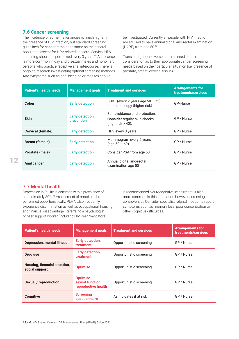#### <span id="page-13-0"></span>**7.6 Cancer screening**

The incidence of some malignancies is much higher in the presence of HIV infection, but standard screening guidelines for cancer remain the same as the general population except for HPV related cancers. Cervical HPV screening should be performed every 3 years.<sup>19</sup> Anal cancer is more common in gay and bisexual males and nonbinary persons who practice receptive anal intercourse. There is ongoing research investigating optimal screening methods. Any symptoms such as anal bleeding or masses should

be investigated. Currently all people with HIV infection are advised to have annual digital ano-rectal examination (DARE) from age 50.20

Trans and gender diverse patients need careful consideration as to their appropriate cancer screening needs based on their particular situation (i.e. presence of prostate, breast, cervical tissue).

| <b>Patient's health needs</b> | <b>Management goals</b>               | <b>Treatment and services</b>                                                        | <b>Arrangements for</b><br>treatments/services |
|-------------------------------|---------------------------------------|--------------------------------------------------------------------------------------|------------------------------------------------|
| Colon                         | <b>Early detection</b>                | FOBT (every 2 years age $50 - 75$ )<br>or colonoscopy (higher risk)                  | GP/Nurse                                       |
| <b>Skin</b>                   | <b>Early detection,</b><br>prevention | Sun avoidance and protection,<br>Consider regular skin checks<br>(high risk $>$ 40), | GP / Nurse                                     |
| <b>Cervical (female)</b>      | <b>Early detection</b>                | HPV every 3 years                                                                    | GP / Nurse                                     |
| <b>Breast (female)</b>        | <b>Early detection</b>                | Mammogram every 2 years<br>$(age 50 - 69)$                                           | GP / Nurse                                     |
| Prostate (male)               | <b>Early detection</b>                | Consider PSA from age 50                                                             | GP / Nurse                                     |
| Anal cancer                   | <b>Early detection</b>                | Annual digital ano-rectal<br>examination age 50                                      | GP / Nurse                                     |

#### **7.7 Mental health**

Depression in PLHIV is common with a prevalence of approximately 30%.21 Assessment of mood can be performed opportunistically. PLHIV also frequently experience discrimination as well as occupational, housing, and financial disadvantage. Referral to a psychologist or peer support worker (including HIV Peer Navigators)

is recommended.Neurocognitive impairment is also more common in this population however screening is controversial. Consider specialist referral if patients report symptoms such as memory loss, poor concentration or other cognitive difficulties.

| <b>Patient's health needs</b>                   | <b>Management goals</b>                                    | <b>Treatment and services</b> | <b>Arrangements for</b><br>treatments/services |
|-------------------------------------------------|------------------------------------------------------------|-------------------------------|------------------------------------------------|
| <b>Depression, mental illness</b>               | <b>Early detection,</b><br>treatment                       | Opportunistic screening       | GP / Nurse                                     |
| Drug use                                        | <b>Early detection,</b><br>treatment                       | Opportunistic screening       | GP / Nurse                                     |
| Housing, financial situation,<br>social support | <b>Optimise</b>                                            | Opportunistic screening       | GP / Nurse                                     |
| <b>Sexual / reproduction</b>                    | <b>Optimise</b><br>sexual function,<br>reproductive health | Opportunistic screening       | GP / Nurse                                     |
| <b>Cognitive</b>                                | <b>Screening</b><br>questionnaire                          | As indicates if at risk       | GP / Nurse                                     |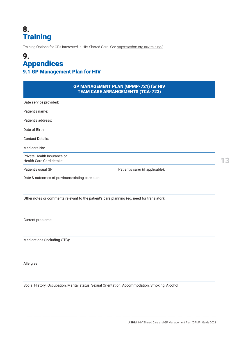### <span id="page-14-0"></span>8. Training

Training Options for GPs interested in HIV Shared Care See https://ashm.org.au/training/

### 9. Appendices 9.1 GP Management Plan for HIV

| Date service provided:                                   |                                  |
|----------------------------------------------------------|----------------------------------|
|                                                          |                                  |
| Patient's name:                                          |                                  |
| Patient's address:                                       |                                  |
| Date of Birth:                                           |                                  |
| <b>Contact Details:</b>                                  |                                  |
| Medicare No:                                             |                                  |
| Private Health Insurance or<br>Health Care Card details: |                                  |
| Patient's usual GP:                                      | Patient's carer (if applicable): |

Other notes or comments relevant to the patient's care planning (eg. need for translator):

Current problems:

Medications (including OTC):

Allergies:

Social History: Occupation, Marital status, Sexual Orientation, Accommodation, Smoking, Alcohol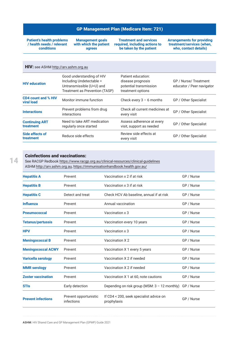#### GP Management Plan (Medicare Item: 721)

**Patient's health problems / health needs / relevant conditions**

**Management goals with which the patient agrees**

**Treatment and services required, including actions to be taken by the patient**

**Arrangements for providing treatment/services (when, who, contact details)**

| HIV: see ASHM http://arv.ashm.org.au     |                                                                                                                      |                                                                                        |                                                    |  |  |
|------------------------------------------|----------------------------------------------------------------------------------------------------------------------|----------------------------------------------------------------------------------------|----------------------------------------------------|--|--|
| <b>HIV</b> education                     | Good understanding of HIV<br>Including Undetectable =<br>Untransmissible (U=U) and<br>Treatment as Prevention (TASP) | Patient education:<br>disease prognosis<br>potential transmission<br>treatment options | GP / Nurse/ Treatment<br>educator / Peer navigator |  |  |
| <b>CD4 count and % HIV</b><br>viral load | Monitor immune function                                                                                              | Check every $3 - 6$ months                                                             | GP / Other Specialist                              |  |  |
| <b>Interactions</b>                      | Prevent problems from drug<br>interactions                                                                           | Check all current medicines at<br>every visit                                          | GP / Other Specialist                              |  |  |
| <b>Continuing ART</b><br>treatment       | Need to take ART medication<br>regularly once started                                                                | Assess adherence at every<br>visit, support as needed                                  | GP / Other Specialist                              |  |  |
| Side effects of<br>treatment             | Reduce side effects                                                                                                  | Review side effects at<br>every visit                                                  | GP / Other Specialist                              |  |  |

#### Coinfections and vaccinations:

See RACGP Redbook<https://www.racgp.org.au/clinical-resources/clinical-guidelines> ASHM [http://arv.ashm.org.au,](file:///C:/Users/dbaker/Documents/Best%20Practice/) <https://immunisationhandbook.health.gov.au/>

| <b>Hepatitis A</b>        | Prevent                             | Vaccination x 2 if at risk                             | GP / Nurse |
|---------------------------|-------------------------------------|--------------------------------------------------------|------------|
| <b>Hepatitis B</b>        | Prevent                             | Vaccination x 3 if at risk                             | GP / Nurse |
| <b>Hepatitis C</b>        | Detect and treat                    | Check HCV Ab baseline, annual if at risk               | GP / Nurse |
| <b>Influenza</b>          | Prevent                             | Annual vaccination                                     | GP / Nurse |
| <b>Pneumococcal</b>       | Prevent                             | Vaccination x 3                                        | GP / Nurse |
| <b>Tetanus/pertussis</b>  | Prevent                             | Vaccination every 10 years                             | GP / Nurse |
| <b>HPV</b>                | Prevent                             | Vaccination x 3                                        | GP / Nurse |
| <b>Meningococcal B</b>    | Prevent                             | Vaccination X 2                                        | GP / Nurse |
| <b>Meningococcal ACWY</b> | Prevent                             | Vaccination X 1 every 5 years                          | GP / Nurse |
| <b>Varicella serology</b> | Prevent                             | Vaccination X 2 if needed                              | GP / Nurse |
| <b>MMR</b> serology       | Prevent                             | Vaccination X 2 if needed                              | GP / Nurse |
| <b>Zoster vaccination</b> | Prevent                             | Vaccination X 1 at 60, note cautions                   | GP / Nurse |
| <b>STIs</b>               | Early detection                     | Depending on risk group (MSM: $3 - 12$ monthly)        | GP / Nurse |
| <b>Prevent infections</b> | Prevent opportunistic<br>infections | If CD4 < 200, seek specialist advice on<br>prophylaxis | GP / Nurse |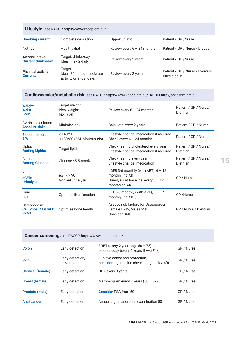| Lifestyle: see RACGP https://www.racgp.org.au/ |                                                               |                              |                                                 |  |  |
|------------------------------------------------|---------------------------------------------------------------|------------------------------|-------------------------------------------------|--|--|
| <b>Smoking current:</b>                        | Complete cessation                                            | Opportunistic                | Patient / GP / Nurse                            |  |  |
| <b>Nutrition</b>                               | Healthy diet                                                  | Review every $6 - 24$ months | Patient / GP / Nurse / Dietitian                |  |  |
| Alcohol intake<br><b>Current drinks/day</b>    | Target: drinks/day<br>Ideal: max 2 daily                      | Review every 2 years         | Patient / GP / Nurse                            |  |  |
| Physical activity<br><b>Current:</b>           | Target:<br>Ideal: 30mins of moderate<br>activity on most days | Review every 2 years         | Patient / GP / Nurse / Exercise<br>Physiologist |  |  |

#### Cardiovascular/metabolic risk: see RACGP <https://www.racgp.org.au/>ASHM [http://arv.ashm.org.au](file:///C:/Users/dbaker/Documents/Best%20Practice/)

| <b>Weight:</b><br>Waist:<br><b>BMI:</b>               | Target weight:<br>Ideal weight:<br>$BMI \leq 25$ | Review every $6 - 24$ months                                                                                         | Patient / GP / Nurse/<br>Dietitian |
|-------------------------------------------------------|--------------------------------------------------|----------------------------------------------------------------------------------------------------------------------|------------------------------------|
| CV risk calculation<br><b>Absolute risk:</b>          | Minimise risk                                    | Calculate every 2 years                                                                                              | Patient / GP / Nurse               |
| <b>Blood pressure</b><br>BP:                          | < 140/90<br>< 130/80 (DM, Albuminuria)           | Lifestyle change, medication if required<br>Check every $6 - 24$ months                                              | Patient / GP / Nurse               |
| Lipids<br><b>Fasting Lipids:</b>                      | Target lipids                                    | Check fasting cholesterol every year<br>Lifestyle change, medication if required                                     | Patient / GP / Nurse/<br>Dietitian |
| Glucose<br><b>Fasting Glucose:</b>                    | Glucose <5.5mmol/L                               | Check fasting every year<br>Lifestyle change, medication                                                             | Patient / GP / Nurse/<br>Dietitian |
| Renal<br>eGFR:<br>Urinalysis:                         | eGFR > 90<br>Normal urinalysis                   | eGFR 3-6 monthly (with ART), $6 - 12$<br>monthly (no ART)<br>Urinalysis at baseline, every $6 - 12$<br>months on ART | GP / Nurse                         |
| Liver<br>LFT:                                         | Optimise liver function                          | LFT 3-6 monthly (with ART), $6 - 12$<br>monthly (no ART)                                                             | GP /Nurse                          |
| Osteoporosis<br>Cal, Phos, ALP, vit D<br><b>FRAX:</b> | Optimise bone health                             | Assess risk factors for Osteoporosi<br>Females >45, Males >50<br><b>Consider BMD</b>                                 | GP / Nurse / Dietitian             |

| <b>Cancer screening:</b> see RACGP https://www.racgp.org.au/ |                                |                                                                                  |            |  |
|--------------------------------------------------------------|--------------------------------|----------------------------------------------------------------------------------|------------|--|
| <b>Colon</b>                                                 | Early detection                | FOBT (every 2 years age $50 - 75$ ) or<br>colonoscopy (every 5 years if +ve Fhx) | GP / Nurse |  |
| <b>Skin</b>                                                  | Early detection,<br>prevention | Sun avoidance and protection,<br>consider regular skin checks (high risk > 40)   | GP / Nurse |  |
| <b>Cervical (female)</b>                                     | Early detection                | HPV every 3 years                                                                | GP / Nurse |  |
| <b>Breast (female)</b>                                       | Early detection                | Mammogram every 2 years $(50 - 69)$                                              | GP / Nurse |  |
| <b>Prostate (male)</b>                                       | Early detection                | <b>Consider PSA from 50</b>                                                      | GP / Nurse |  |
| <b>Anal cancer</b>                                           | Early detection                | Annual digital anorectal examination 50                                          | GP / Nurse |  |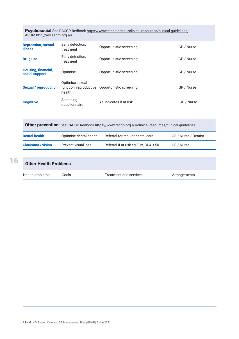Psychosocial See RACGP Redbook [https://www.racgp.org.au/clinical-resources/clinical-guidelines,](https://www.racgp.org.au/clinical-resources/clinical-guidelines) ASHM [http://arv.ashm.org.au](file:///C:/Users/dbaker/Documents/Best%20Practice/)

| <b>Depression, mental</b><br><b>illness</b> | Early detection,<br>treatment | Opportunistic screening                        | GP / Nurse |
|---------------------------------------------|-------------------------------|------------------------------------------------|------------|
| <b>Drug use</b>                             | Early detection,<br>treatment | Opportunistic screening                        | GP / Nurse |
| Housing, financial,<br>social support       | Optimise                      | Opportunistic screening                        | GP / Nurse |
| <b>Sexual / reproduction</b>                | Optimise sexual<br>health     | function, reproductive Opportunistic screening | GP / Nurse |
| <b>Cognitive</b>                            | Screening<br>questionnaire    | As indicates if at risk                        | GP / Nurse |

Other prevention: See RACGP Redbook <https://www.racgp.org.au/clinical-resources/clinical-guidelines>

| <b>Dental health</b>     | Optimise dental health | Referral for regular dental care     | GP / Nurse / Dentist |
|--------------------------|------------------------|--------------------------------------|----------------------|
| <b>Glaucoma</b> / vision | Prevent visual loss    | Referral if at risk eg FHx, CD4 < 50 | GP / Nurse           |

| <b>Other Health Problems</b> |       |                        |              |  |
|------------------------------|-------|------------------------|--------------|--|
| Health problems              | Goals | Treatment and services | Arrangements |  |

ASHM: HIV Shared Care and GP Management Plan (GPMP) Guide 2021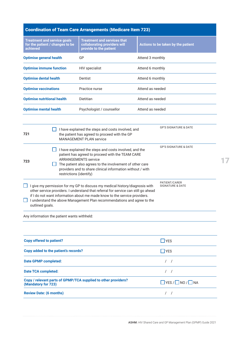|                                 |                                                                        | <b>Coordination of Team Care Arrangements (Medicare Item 723)</b>                                                                                                                                                                                                                                                                                                                                                                                                                                                                                                                                                                                                                                                                         |                  |                                                                                                                      |
|---------------------------------|------------------------------------------------------------------------|-------------------------------------------------------------------------------------------------------------------------------------------------------------------------------------------------------------------------------------------------------------------------------------------------------------------------------------------------------------------------------------------------------------------------------------------------------------------------------------------------------------------------------------------------------------------------------------------------------------------------------------------------------------------------------------------------------------------------------------------|------------------|----------------------------------------------------------------------------------------------------------------------|
| achieved                        | <b>Treatment and service goals</b><br>for the patient / changes to be  | <b>Treatment and services that</b><br>collaborating providers will<br>provide to the patient                                                                                                                                                                                                                                                                                                                                                                                                                                                                                                                                                                                                                                              |                  | Actions to be taken by the patient                                                                                   |
| <b>Optimise general health</b>  |                                                                        | GP                                                                                                                                                                                                                                                                                                                                                                                                                                                                                                                                                                                                                                                                                                                                        | Attend 3 monthly |                                                                                                                      |
|                                 | <b>Optimise immune function</b>                                        | <b>HIV</b> specialist                                                                                                                                                                                                                                                                                                                                                                                                                                                                                                                                                                                                                                                                                                                     | Attend 6 monthly |                                                                                                                      |
| <b>Optimise dental health</b>   |                                                                        | Dentist                                                                                                                                                                                                                                                                                                                                                                                                                                                                                                                                                                                                                                                                                                                                   | Attend 6 monthly |                                                                                                                      |
| <b>Optimise vaccinations</b>    |                                                                        | Practice nurse                                                                                                                                                                                                                                                                                                                                                                                                                                                                                                                                                                                                                                                                                                                            | Attend as needed |                                                                                                                      |
|                                 | <b>Optimise nutritional health</b>                                     | Dietitian                                                                                                                                                                                                                                                                                                                                                                                                                                                                                                                                                                                                                                                                                                                                 | Attend as needed |                                                                                                                      |
| <b>Optimise mental health</b>   |                                                                        | Psychologist / counsellor                                                                                                                                                                                                                                                                                                                                                                                                                                                                                                                                                                                                                                                                                                                 | Attend as needed |                                                                                                                      |
| 721<br>723<br>outlined goals.   | restrictions (identify)<br>Any information the patient wants withheld: | I have explained the steps and costs involved, and<br>the patient has agreed to proceed with the GP<br><b>MANAGEMENT PLAN service</b><br>I have explained the steps and costs involved, and the<br>patient has agreed to proceed with the TEAM CARE<br><b>ARRANGEMENTS service</b><br>The patient also agrees to the involvement of other care<br>providers and to share clinical information without / with<br>I give my permission for my GP to discuss my medical history/diagnosis with<br>other service providers. I understand that referral for service can still go ahead<br>if I do not want information about me made know to the service providers.<br>I understand the above Management Plan recommendations and agree to the |                  | <b>GP'S SIGNATURE &amp; DATE</b><br><b>GP'S SIGNATURE &amp; DATE</b><br>PATIENT/CARER<br><b>SIGNATURE &amp; DATE</b> |
|                                 |                                                                        |                                                                                                                                                                                                                                                                                                                                                                                                                                                                                                                                                                                                                                                                                                                                           |                  |                                                                                                                      |
| <b>Copy offered to patient?</b> |                                                                        |                                                                                                                                                                                                                                                                                                                                                                                                                                                                                                                                                                                                                                                                                                                                           |                  | $\Box$ YES                                                                                                           |
|                                 | Copy added to the patient's records?                                   |                                                                                                                                                                                                                                                                                                                                                                                                                                                                                                                                                                                                                                                                                                                                           |                  | $\Box$ YES                                                                                                           |
| <b>Date GPMP completed:</b>     |                                                                        |                                                                                                                                                                                                                                                                                                                                                                                                                                                                                                                                                                                                                                                                                                                                           |                  | $\sqrt{2}$<br>$\prime$                                                                                               |
| <b>Date TCA completed:</b>      |                                                                        |                                                                                                                                                                                                                                                                                                                                                                                                                                                                                                                                                                                                                                                                                                                                           |                  | $\sqrt{2}$<br>$\prime$                                                                                               |
|                                 |                                                                        |                                                                                                                                                                                                                                                                                                                                                                                                                                                                                                                                                                                                                                                                                                                                           |                  |                                                                                                                      |

**Copy / relevant parts of GPMP/TCA supplied to other providers? (Mandatory for 723)** YES / NO / NA **Review Date: (6 months)** / /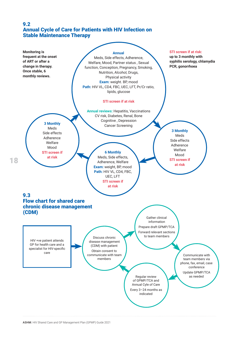#### <span id="page-19-0"></span>9.2 Annual Cycle of Care for Patients with HIV Infection on Stable Maintenance Therapy

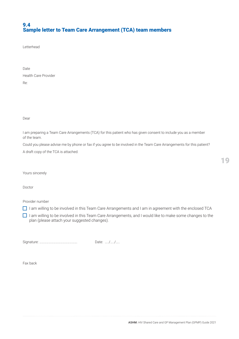#### <span id="page-20-0"></span>9.4 Sample letter to Team Care Arrangement (TCA) team members

Letterhead

Date Health Care Provider Re:

Dear

I am preparing a Team Care Arrangements (TCA) for this patient who has given consent to include you as a member of the team.

Could you please advise me by phone or fax if you agree to be involved in the Team Care Arrangements for this patient?

A draft copy of the TCA is attached.

Yours sincerely

Doctor

Provider number

- I am willing to be involved in this Team Care Arrangements and I am in agreement with the enclosed TCA
- $\Box$  I am willing to be involved in this Team Care Arrangements, and I would like to make some changes to the plan (please attach your suggested changes).

Signature: …………………………………………. Date: …../…../…..

Fax back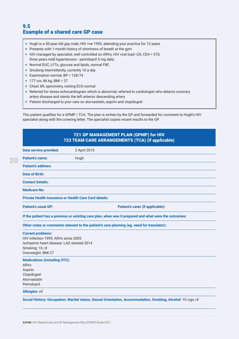#### <span id="page-21-0"></span>9.5 Example of a shared care GP case

- + Hugh is a 50-year-old gay male, HIV +ve 1995, attending your practice for 12 years
- + Presents with 1-month history of shortness of breath at the gym
- + HIV managed by specialist, well controlled on ARVs, HIV viral load <20, CD4 = 570, three years mild hypertension - perindopril 5 mg daily
- + Normal EUC, LFTs, glucose and lipids, normal FBC
- + Smoking intermittently, currently 10 a day
- + Examination normal, BP = 128/74
- + 177 cm, 86 kg, BMI = 27
- + Chest XR, spirometry, resting ECG normal

**Date service provided:** 2 April 2015

- + Referred for stress echocardiogram which is abnormal, referred to cardiologist who detects coronary artery disease and stents the left anterior descending artery
- + Patient discharged to your care on atorvastatin, aspirin and clopidogrel

This patient qualifies for a GPMP / TCA. The plan is written by the GP and forwarded for comment to Hugh's HIV specialist along with the covering letter. The specialist copies recent results to the GP.

#### 721 GP MANAGEMENT PLAN (GPMP) for HIV 723 TEAM CARE ARRANGEMENTS (TCA) (if applicable)

| <b>Patient's name:</b>                                       | Hugh                                                                                                  |
|--------------------------------------------------------------|-------------------------------------------------------------------------------------------------------|
| <b>Patient's address:</b>                                    |                                                                                                       |
| <b>Date of Birth:</b>                                        |                                                                                                       |
| <b>Contact Details:</b>                                      |                                                                                                       |
| <b>Medicare No:</b>                                          |                                                                                                       |
| <b>Private Health Insurance or Health Care Card details:</b> |                                                                                                       |
| <b>Patient's usual GP:</b>                                   | Patient's carer (if applicable):                                                                      |
|                                                              | If the patient has a previous or existing care plan, when was it prepared and what were the outcomes: |
|                                                              | Other notes or comments relevant to the patient's care planning (eg. need for translator):            |
| <b>Current problems:</b>                                     |                                                                                                       |
| HIV infection 1995: ARVs since 2005                          |                                                                                                       |
| Ischaemic heart disease: LAD stented 2014                    |                                                                                                       |
| Smoking: 10/d                                                |                                                                                                       |
| Overweight: BMI 27                                           |                                                                                                       |
| <b>Medications (including OTC):</b>                          |                                                                                                       |
| ARVs                                                         |                                                                                                       |
| Aspirin                                                      |                                                                                                       |

Aspirin Clopidogrel Atorvastatin Perindopril

**Allergies:** nil

**Social History: Occupation, Marital status, Sexual Orientation, Accommodation, Smoking, Alcohol:** 10 cigs /d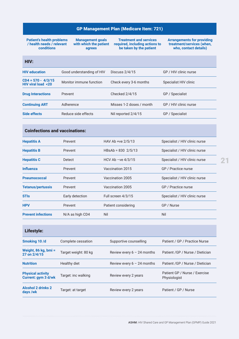#### GP Management Plan (Medicare Item: 721)

**Patient's health problems / health needs / relevant conditions**

**Management goals with which the patient agrees**

**Treatment and services required, including actions to be taken by the patient**

**Arrangements for providing treatment/services (when, who, contact details)**

| <b>Contract Contract Contract Contract Contract Contract Contract Contract Contract Contract Contract Contract Co</b> | <b>STATE OF STATE OF STATE OF STATE OF STATE OF STATE OF STATE OF STATE OF STATE OF STATE OF STATE OF STATE OF S</b>                                                                                                                           | and the state of the state of the state of the state of the state of the state of the state of the state of th        | <b>Contract Contract Contract Contract Contract Contract Contract Contract Contract Contract Contract Contract Co</b>                                                                                                                                                                                                                                                   |
|-----------------------------------------------------------------------------------------------------------------------|------------------------------------------------------------------------------------------------------------------------------------------------------------------------------------------------------------------------------------------------|-----------------------------------------------------------------------------------------------------------------------|-------------------------------------------------------------------------------------------------------------------------------------------------------------------------------------------------------------------------------------------------------------------------------------------------------------------------------------------------------------------------|
| <b>Contract Contract Contract Contract Contract Contract Contract Contract Contract Contract Contract Contract Co</b> | <b>Contract Contract Contract Contract Contract Contract Contract Contract Contract Contract Contract Contract Co</b><br><b>Contract Contract Contract Contract Contract Contract Contract Contract Contract Contract Contract Contract Co</b> | <b>Contract Contract Contract Contract Contract Contract Contract Contract Contract Contract Contract Contract Co</b> | <b>Contract Contract Contract Contract Contract Contract Contract Contract Contract Contract Contract Contract Co</b><br><b>Contract Contract Contract Contract Contract Contract Contract Contract Contract Contract Contract Contract Co</b><br><b>Contract Contract Contract Contract Contract Contract Contract Contract Contract Contract Contract Contract Co</b> |

| <b>HIV education</b>                       | Good understanding of HIV | Discuss $2/4/15$         | GP / HIV clinic nurse |
|--------------------------------------------|---------------------------|--------------------------|-----------------------|
| $CD4 = 570 - 4/3/15$<br>HIV viral load <20 | Monitor immune function   | Check every 3-6 months   | Specialist HIV clinic |
| <b>Drug Interactions</b>                   | Prevent                   | Checked 2/4/15           | GP / Specialist       |
| <b>Continuing ART</b>                      | Adherence                 | Misses 1-2 doses / month | GP / HIV clinic nurse |
| Side effects                               | Reduce side effects       | Nil reported 2/4/15      | GP / Specialist       |
|                                            |                           |                          |                       |

#### Coinfections and vaccinations:

| <b>Hepatitis A</b>        | Prevent         | HAV Ab +ve $2/5/13$          | Specialist / HIV clinic nurse |
|---------------------------|-----------------|------------------------------|-------------------------------|
| <b>Hepatitis B</b>        | Prevent         | $HBsAb = 830 \frac{2}{5}/13$ | Specialist / HIV clinic nurse |
| <b>Hepatitis C</b>        | Detect          | HCV Ab $-ve$ 4/3/15          | Specialist / HIV clinic nurse |
| <b>Influenza</b>          | Prevent         | Vaccination 2015             | GP / Practice nurse           |
| <b>Pneumococcal</b>       | Prevent         | Vaccination 2005             | Specialist / HIV clinic nurse |
| <b>Tetanus/pertussis</b>  | Prevent         | Vaccination 2005             | GP / Practice nurse           |
| <b>STIs</b>               | Early detection | Full screen 4/3/15           | Specialist / HIV clinic nurse |
| <b>HPV</b>                | Prevent         | Patient considering          | GP / Nurse                    |
| <b>Prevent infections</b> | N/A as high CD4 | Nil                          | Nil                           |
|                           |                 |                              |                               |

| Lifestyle:                                      |                      |                              |                                               |
|-------------------------------------------------|----------------------|------------------------------|-----------------------------------------------|
| Smoking 10 /d                                   | Complete cessation   | Supportive counselling       | Patient / GP / Practice Nurse                 |
| Weight, 86 kg, bmi =<br>27 on 2/4/15            | Target weight: 80 kg | Review every $6 - 24$ months | Patient / GP / Nurse / Dietician              |
| <b>Nutrition</b>                                | Healthy diet         | Review every $6 - 24$ months | Patient / GP / Nurse / Dietician              |
| <b>Physical activity</b><br>Current: gym 3 d/wk | Target: inc walking  | Review every 2 years         | Patient GP / Nurse / Exercise<br>Physiologist |
| <b>Alcohol 2 drinks 2</b><br>days/wk            | Target: at target    | Review every 2 years         | Patient / GP / Nurse                          |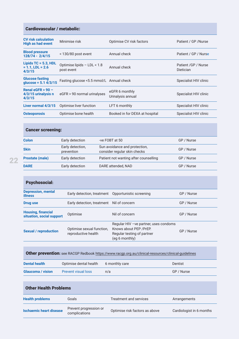#### Cardiovascular / metabolic:

| <b>CV risk calculation</b><br><b>High as had event</b>   | Minimise risk                             | Optimise CV risk factors            | Patient / GP / Nurse              |
|----------------------------------------------------------|-------------------------------------------|-------------------------------------|-----------------------------------|
| <b>Blood pressure</b><br>128/74 - 2/4/15                 | $<$ 130/80 post event                     | Annual check                        | Patient / GP / Nurse              |
| Lipids $TC = 5.3$ , HDL<br>$= 1.1$ , LDL = 2.6<br>4/3/15 | Optimise lipids - LDL < 1.8<br>post event | Annual check                        | Patient / GP / Nurse<br>Dietician |
| <b>Glucose fasting</b><br>glucose = $5.1 \frac{4}{3}$ 15 | Fasting glucose < 5.5 mmol/L Annual check |                                     | Specialist HIV clinic             |
| Renal eGFR $> 90 -$<br>4/3/15 urinalysis n<br>4/3/15     | eGFR > 90 normal urinalyses               | eGFR 6 monthly<br>Urinalysis annual | Specialist HIV clinic             |
| Liver normal 4/3/15                                      | Optimise liver function                   | LFT 6 monthly                       | Specialist HIV clinic             |
| <b>Osteoporosis</b>                                      | Optimise bone health                      | Booked in for DEXA at hospital      | Specialist HIV clinic             |

#### Cancer screening:

| <b>Colon</b>           | Early detection                | -ve FOBT at 50                                                | GP / Nurse |
|------------------------|--------------------------------|---------------------------------------------------------------|------------|
| <b>Skin</b>            | Early detection,<br>prevention | Sun avoidance and protection,<br>consider regular skin checks | GP / Nurse |
| <b>Prostate (male)</b> | Early detection                | Patient not wanting after counselling                         | GP / Nurse |
| <b>DARE</b>            | Early detection                | DARE attended, NAD                                            | GP / Nurse |

| <b>Psychosocial:</b>                                   |                                                     |                                                                                                                   |            |
|--------------------------------------------------------|-----------------------------------------------------|-------------------------------------------------------------------------------------------------------------------|------------|
| <b>Depression, mental</b><br><b>illness</b>            | Early detection, treatment  Opportunistic screening |                                                                                                                   | GP / Nurse |
| Drug use                                               | Early detection, treatment Nil of concern           |                                                                                                                   | GP / Nurse |
| <b>Housing, financial</b><br>situation, social support | Optimise                                            | Nil of concern                                                                                                    | GP / Nurse |
| <b>Sexual / reproduction</b>                           | Optimise sexual function.<br>reproductive health    | Regular HIV - ve partner, uses condoms<br>Knows about PEP / PrEP.<br>Regular testing of partner<br>(eg 6 monthly) | GP / Nurse |

#### Other prevention: see RACGP Redbook<https://www.racgp.org.au/clinical-resources/clinical-guidelines>

| Dental health            | Optimise dental health     | 6 monthly care | Dentist    |
|--------------------------|----------------------------|----------------|------------|
| <b>Glaucoma</b> / vision | <b>Prevent visual loss</b> | n/a            | GP / Nurse |

| <b>Other Health Problems</b>   |                                         |                                |                          |
|--------------------------------|-----------------------------------------|--------------------------------|--------------------------|
| <b>Health problems</b>         | Goals                                   | Treatment and services         | Arrangements             |
| <b>Ischaemic heart disease</b> | Prevent progression or<br>complications | Optimise risk factors as above | Cardiologist in 6 months |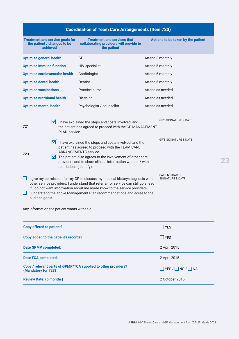| <b>Coordination of Team Care Arrangements (Item 723)</b>                                                                                                                                                                                                                                                                                                                                     |                                                                                                                                                                                                                                                                                                                                    |                                    |  |
|----------------------------------------------------------------------------------------------------------------------------------------------------------------------------------------------------------------------------------------------------------------------------------------------------------------------------------------------------------------------------------------------|------------------------------------------------------------------------------------------------------------------------------------------------------------------------------------------------------------------------------------------------------------------------------------------------------------------------------------|------------------------------------|--|
| <b>Treatment and service goals for</b><br>the patient / changes to be<br>achieved                                                                                                                                                                                                                                                                                                            | <b>Treatment and services that</b><br>collaborating providers will provide to<br>the patient                                                                                                                                                                                                                                       | Actions to be taken by the patient |  |
| <b>Optimise general health</b>                                                                                                                                                                                                                                                                                                                                                               | GP                                                                                                                                                                                                                                                                                                                                 | Attend 3 monthly                   |  |
| <b>Optimise immune function</b>                                                                                                                                                                                                                                                                                                                                                              | <b>HIV</b> specialist                                                                                                                                                                                                                                                                                                              | Attend 6 monthly                   |  |
| <b>Optimise cardiovascular health</b>                                                                                                                                                                                                                                                                                                                                                        | Cardiologist                                                                                                                                                                                                                                                                                                                       | Attend 6 monthly                   |  |
| <b>Optimise dental health</b>                                                                                                                                                                                                                                                                                                                                                                | Dentist                                                                                                                                                                                                                                                                                                                            | Attend 6 monthly                   |  |
| <b>Optimise vaccinations</b>                                                                                                                                                                                                                                                                                                                                                                 | Practice nurse                                                                                                                                                                                                                                                                                                                     | Attend as needed                   |  |
| <b>Optimise nutritional health</b>                                                                                                                                                                                                                                                                                                                                                           | Dietician                                                                                                                                                                                                                                                                                                                          | Attend as needed                   |  |
| <b>Optimise mental health</b>                                                                                                                                                                                                                                                                                                                                                                | Psychologist / counsellor                                                                                                                                                                                                                                                                                                          | Attend as needed                   |  |
| $\overline{\mathsf{M}}$<br>721<br>PI AN service                                                                                                                                                                                                                                                                                                                                              | I have explained the steps and costs involved, and<br>the patient has agreed to proceed with the GP MANAGEMENT                                                                                                                                                                                                                     | <b>GP'S SIGNATURE &amp; DATE</b>   |  |
| 723<br>M                                                                                                                                                                                                                                                                                                                                                                                     | <b>GP'S SIGNATURE &amp; DATE</b><br>I have explained the steps and costs involved, and the<br>patient has agreed to proceed with the TEAM CARE<br><b>ARRANGEMENTS service</b><br>The patient also agrees to the involvement of other care<br>providers and to share clinical information without / with<br>restrictions (identify) |                                    |  |
| PATIENT/CARER<br>I give my permission for my GP to discuss my medical history/diagnosis with<br><b>SIGNATURE &amp; DATE</b><br>other service providers. I understand that referral for service can still go ahead<br>if I do not want information about me made know to the service providers.<br>I understand the above Management Plan recommendations and agree to the<br>outlined goals. |                                                                                                                                                                                                                                                                                                                                    |                                    |  |
| Any information the patient wants withheld:                                                                                                                                                                                                                                                                                                                                                  |                                                                                                                                                                                                                                                                                                                                    |                                    |  |
| <b>Copy offered to patient?</b><br>$\Box$ YES                                                                                                                                                                                                                                                                                                                                                |                                                                                                                                                                                                                                                                                                                                    |                                    |  |
| Copy added to the patient's records?                                                                                                                                                                                                                                                                                                                                                         | $\Box$ YES                                                                                                                                                                                                                                                                                                                         |                                    |  |
| <b>Date GPMP completed:</b>                                                                                                                                                                                                                                                                                                                                                                  |                                                                                                                                                                                                                                                                                                                                    | 2 April 2015                       |  |
| <b>Date TCA completed:</b>                                                                                                                                                                                                                                                                                                                                                                   |                                                                                                                                                                                                                                                                                                                                    | 2 April 2015                       |  |
| Copy / relevant parts of GPMP/TCA supplied to other providers?<br>$\Box$ YES / $\Box$ NO / $\Box$ NA<br>(Mandatory for 723)                                                                                                                                                                                                                                                                  |                                                                                                                                                                                                                                                                                                                                    |                                    |  |
| <b>Review Date: (6 months)</b><br>2 October 2015                                                                                                                                                                                                                                                                                                                                             |                                                                                                                                                                                                                                                                                                                                    |                                    |  |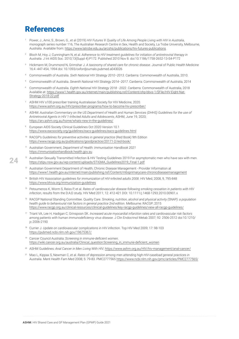### <span id="page-25-0"></span>References

- <sup>1</sup> Power, J., Amir, S., Brown, G., et al (2019) *HIV Futures 9: Quality of Life Among People Living with HIV in Australia*, monograph series number 116, The Australian Research Centre in Sex, Health and Society, La Trobe University, Melbourne, Australia. Available from:<https://www.latrobe.edu.au/arcshs/publications/hiv-futures-publications>
- <sup>2</sup> Bloch M, Hoy J, Cunningham N, et al. *Adherence to HIV treatment guidelines for initiation of antiretroviral therapy in Australia*. J Int AIDS Soc. 2010;13(Suppl 4):P172. Published 2010 Nov 8. doi:10.1186/1758-2652-13-S4-P172
- <sup>3</sup> Hickmann M, Drummond N, Grimshar J. *A taxonomy of shared care for chronic disease*. Journal of Public Health Medicine 16:4 -447-454, 1994 doi: 10.1093/oxfordjournals.pubmed.a043026
- <sup>4</sup> Commonwealth of Australia. *Sixth National HIV Strategy 2010–2013*. Canberra: Commonwealth of Australia, 2010.
- <sup>5</sup> Commonwealth of Australia. *Seventh National HIV Strategy 2014–2017*. Canberra: Commonwealth of Australia, 2014
- <sup>6</sup> Commonwealth of Australia. *Eighth National HIV Strategy 2018 2022*. Canberra: Commonwealth of Australia, 2018 Available at: [https://www1.health.gov.au/internet/main/publishing.nsf/Content/ohp-bbvs-1/\\$File/HIV-Eight-Nat-](https://www1.health.gov.au/internet/main/publishing.nsf/Content/ohp-bbvs-1/$File/HIV-Eight-Nat-Strategy-2018-22.pdf)[Strategy-2018-22.pdf](https://www1.health.gov.au/internet/main/publishing.nsf/Content/ohp-bbvs-1/$File/HIV-Eight-Nat-Strategy-2018-22.pdf)
- ASHM HIV s100 prescriber training Australasian Society for HIV Medicine, 2020. <https://www.ashm.org.au/HIV/prescriber-programs/how-to-become-hiv-prescriber/>
- <sup>8</sup> ASHM: *Australian Commentary on the US Department of Health and Human Services (DHHS) Guidelines for the use of Antiretroviral Agents in HIV 1-Infected Adults and Adolescents*, ASHM, June 19, 2020; <https://arv.ashm.org.au/home/whats-new-in-the-guidelines/>
- <sup>9</sup> European AIDS Society Clinical Guidelines Oct 2020 Version 10.1 <https://www.eacsociety.org/guidelines/eacs-guidelines/eacs-guidelines.html>
- <sup>10</sup> RACGP's Guidelines for preventive activities in general practice (Red Book) 9th Edition <https://www.racgp.org.au/publications/goodpractice/20171-2/red-book/>
- <sup>11</sup> Australian Government, *Department of Health: Immunisation Handbook 2021* <https://immunisationhandbook.health.gov.au>
- Australian Sexually Transmitted Infection & HIV Testing Guidelines 2019 For asymptomatic men who have sex with men. [https://stipu.nsw.gov.au/wp-content/uploads/STIGMA\\_Guidelines2019\\_Final-1.pdf](https://stipu.nsw.gov.au/wp-content/uploads/STIGMA_Guidelines2019_Final-1.pdf)
- <sup>13</sup> Australian Government Department of Health, Chronic Disease Management Provider Information at <https://www1.health.gov.au/internet/main/publishing.nsf/Content/mbsprimarycare-chronicdiseasemanagement>
- <sup>14</sup> British HIV Association *guidelines for immunization of HIV-infected adults 2008*. HIV Med, 2008, 9, 795-848 <https://www.bhiva.org/immunization-guidelines>
- <sup>15</sup> Petoumenos K, Worm S, Reiss P, et al. *Rates of cardiovascular disease following smoking cessation in patients with HIV infection*, results from the D:A:D study. HIV Med 2011; 12: 412-421 DOI: 10.1111/j.1468-1293.2010.00901.x
- <sup>16</sup> RACGP National Standing Committee. Quality Care. *Smoking, nutrition, alcohol and physical activity (SNAP): a population health guide to behavioural risk factors in general practice 2nd edition*. Melbourne: RACGP; 2015 <https://www.racgp.org.au/clinical-resources/clinical-guidelines/key-racgp-guidelines/view-all-racgp-guidelines/>
- <sup>17</sup> Triant VA, Lee H, Hadigan C, Grinspoon SK. *Increased acute myocardial infarction rates and cardiovascular risk factors among patients with human immunodeficiency virus disease*. J Clin Endocrinol Metab 2007; 92: 2506-2512 doi:10.1210/ jc.2006-2190
- <sup>18</sup> Currier J. *Update on cardiovascular complications in HIV infectio*n. Top HIV Med 2009; 17: 98-103 <https://pubmed.ncbi.nlm.nih.gov/19675367/>
- <sup>19</sup> Cancer Council Australia: *Screening in immune-deficient women*. [https://wiki.cancer.org.au/australia/Clinical\\_question:Screening\\_in\\_immune-deficient\\_women](https://wiki.cancer.org.au/australia/Clinical_question:Screening_in_immune-deficient_women)
- <sup>20</sup> ASHM Guidelines: *Anal Cancer in Men Living With HIV*,<https://www.ashm.org.au/HIV/hiv-management/anal-cancer/>
- <sup>21</sup> Mao L, Kippax S, Newman C, et al. *Rates of depression among men attending high-HIV-caseload general practices in Australia*. Ment Health Fam Med 2008; 5: 79-83. PMC2777565 <https://www.ncbi.nlm.nih.gov/pmc/articles/PMC2777565/>